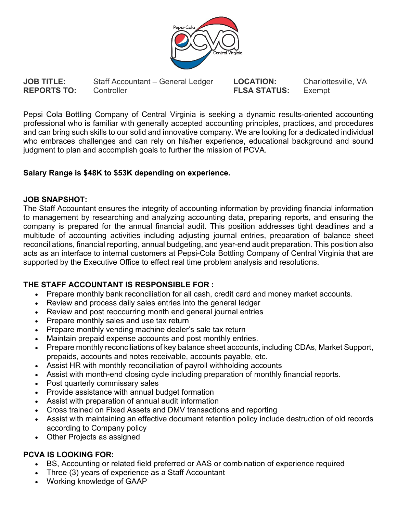

**JOB TITLE:** Staff Accountant – General Ledger **LOCATION:** Charlottesville, VA<br> **REPORTS TO:** Controller **Controller FLSA STATUS:** Exempt **REPORTS TO:** Controller **FLSA STATUS:** Exempt

Pepsi Cola Bottling Company of Central Virginia is seeking a dynamic results-oriented accounting professional who is familiar with generally accepted accounting principles, practices, and procedures and can bring such skills to our solid and innovative company. We are looking for a dedicated individual who embraces challenges and can rely on his/her experience, educational background and sound judgment to plan and accomplish goals to further the mission of PCVA.

## **Salary Range is \$48K to \$53K depending on experience.**

## **JOB SNAPSHOT:**

The Staff Accountant ensures the integrity of accounting information by providing financial information to management by researching and analyzing accounting data, preparing reports, and ensuring the company is prepared for the annual financial audit. This position addresses tight deadlines and a multitude of accounting activities including adjusting journal entries, preparation of balance sheet reconciliations, financial reporting, annual budgeting, and year-end audit preparation. This position also acts as an interface to internal customers at Pepsi-Cola Bottling Company of Central Virginia that are supported by the Executive Office to effect real time problem analysis and resolutions.

## **THE STAFF ACCOUNTANT IS RESPONSIBLE FOR :**

- Prepare monthly bank reconciliation for all cash, credit card and money market accounts.
- Review and process daily sales entries into the general ledger
- Review and post reoccurring month end general journal entries
- Prepare monthly sales and use tax return
- Prepare monthly vending machine dealer's sale tax return
- Maintain prepaid expense accounts and post monthly entries.
- Prepare monthly reconciliations of key balance sheet accounts, including CDAs, Market Support, prepaids, accounts and notes receivable, accounts payable, etc.
- Assist HR with monthly reconciliation of payroll withholding accounts
- Assist with month-end closing cycle including preparation of monthly financial reports.
- Post quarterly commissary sales
- Provide assistance with annual budget formation
- Assist with preparation of annual audit information
- Cross trained on Fixed Assets and DMV transactions and reporting
- Assist with maintaining an effective document retention policy include destruction of old records according to Company policy
- Other Projects as assigned

## **PCVA IS LOOKING FOR:**

- BS, Accounting or related field preferred or AAS or combination of experience required
- Three (3) years of experience as a Staff Accountant
- Working knowledge of GAAP